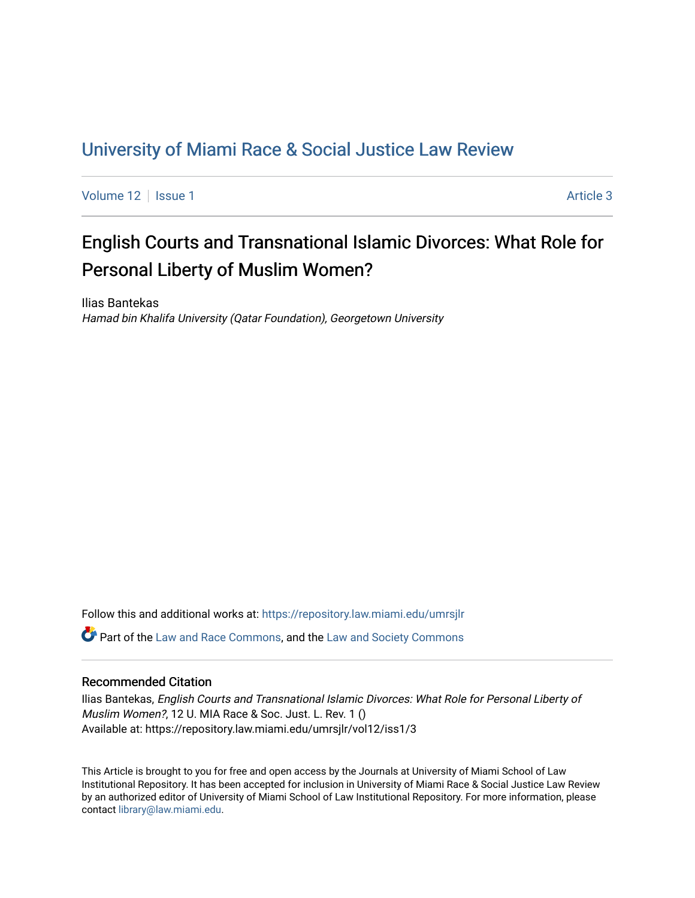## [University of Miami Race & Social Justice Law Review](https://repository.law.miami.edu/umrsjlr)

[Volume 12](https://repository.law.miami.edu/umrsjlr/vol12) | [Issue 1](https://repository.law.miami.edu/umrsjlr/vol12/iss1) Article 3

# English Courts and Transnational Islamic Divorces: What Role for Personal Liberty of Muslim Women?

Ilias Bantekas Hamad bin Khalifa University (Qatar Foundation), Georgetown University

Follow this and additional works at: [https://repository.law.miami.edu/umrsjlr](https://repository.law.miami.edu/umrsjlr?utm_source=repository.law.miami.edu%2Fumrsjlr%2Fvol12%2Fiss1%2F3&utm_medium=PDF&utm_campaign=PDFCoverPages)

Part of the [Law and Race Commons,](http://network.bepress.com/hgg/discipline/1300?utm_source=repository.law.miami.edu%2Fumrsjlr%2Fvol12%2Fiss1%2F3&utm_medium=PDF&utm_campaign=PDFCoverPages) and the [Law and Society Commons](http://network.bepress.com/hgg/discipline/853?utm_source=repository.law.miami.edu%2Fumrsjlr%2Fvol12%2Fiss1%2F3&utm_medium=PDF&utm_campaign=PDFCoverPages) 

#### Recommended Citation

Ilias Bantekas, English Courts and Transnational Islamic Divorces: What Role for Personal Liberty of Muslim Women?, 12 U. MIA Race & Soc. Just. L. Rev. 1 () Available at: https://repository.law.miami.edu/umrsjlr/vol12/iss1/3

This Article is brought to you for free and open access by the Journals at University of Miami School of Law Institutional Repository. It has been accepted for inclusion in University of Miami Race & Social Justice Law Review by an authorized editor of University of Miami School of Law Institutional Repository. For more information, please contact [library@law.miami.edu](mailto:library@law.miami.edu).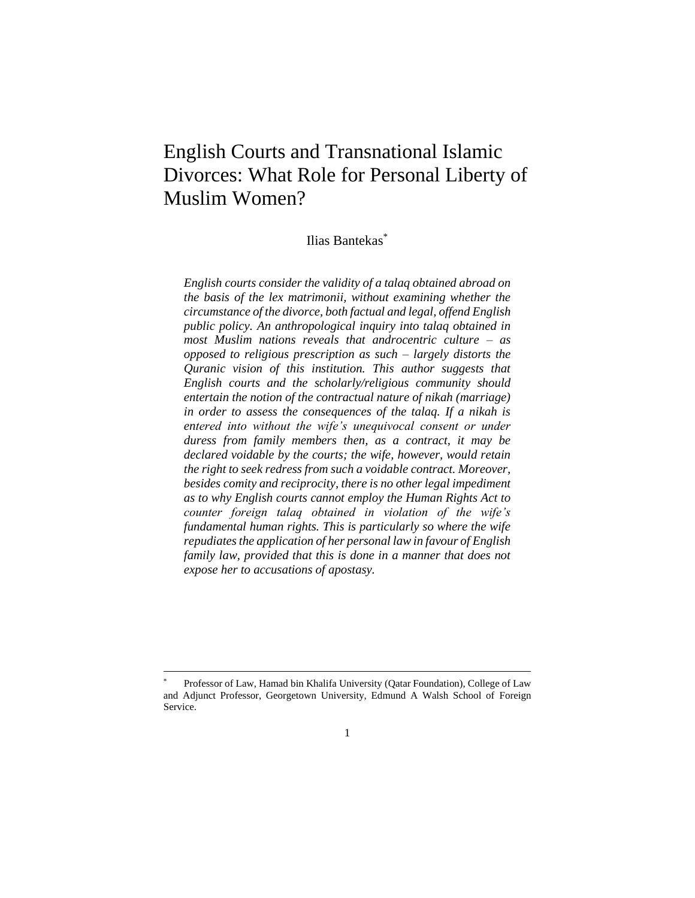## English Courts and Transnational Islamic Divorces: What Role for Personal Liberty of Muslim Women?

Ilias Bantekas \*

*English courts consider the validity of a talaq obtained abroad on the basis of the lex matrimonii, without examining whether the circumstance of the divorce, both factual and legal, offend English public policy. An anthropological inquiry into talaq obtained in most Muslim nations reveals that androcentric culture – as opposed to religious prescription as such – largely distorts the Quranic vision of this institution. This author suggests that English courts and the scholarly/religious community should entertain the notion of the contractual nature of nikah (marriage) in order to assess the consequences of the talaq. If a nikah is entered into without the wife's unequivocal consent or under duress from family members then, as a contract, it may be declared voidable by the courts; the wife, however, would retain the right to seek redress from such a voidable contract. Moreover, besides comity and reciprocity, there is no other legal impediment as to why English courts cannot employ the Human Rights Act to counter foreign talaq obtained in violation of the wife's fundamental human rights. This is particularly so where the wife repudiates the application of her personal law in favour of English family law, provided that this is done in a manner that does not expose her to accusations of apostasy.*

Professor of Law, Hamad bin Khalifa University (Qatar Foundation), College of Law and Adjunct Professor, Georgetown University, Edmund A Walsh School of Foreign Service.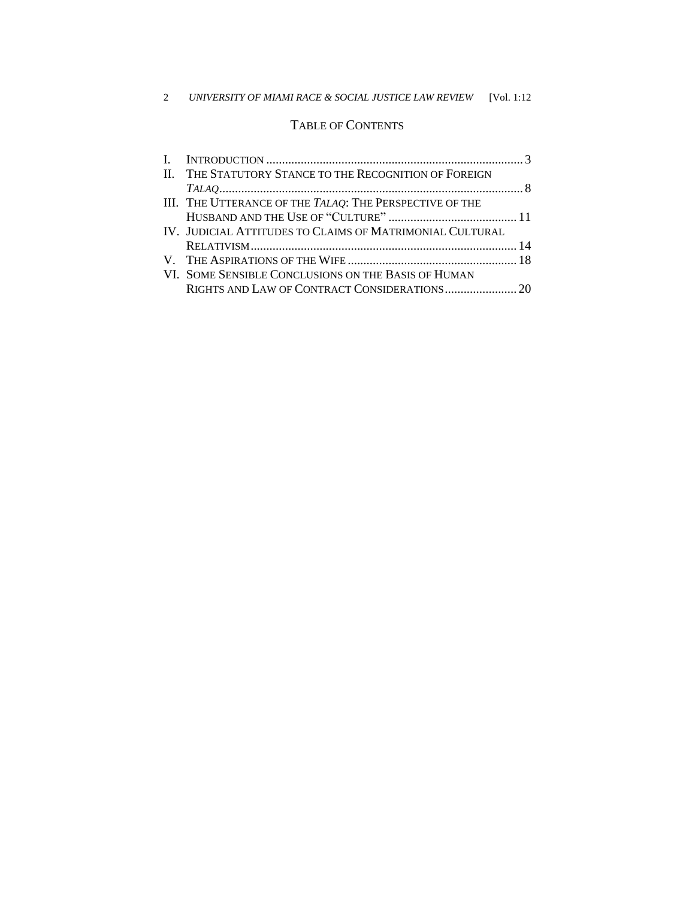#### 2 *UNIVERSITY OF MIAMI RACE & SOCIAL JUSTICE LAW REVIEW* [Vol. 1:12

### TABLE OF CONTENTS

| II. THE STATUTORY STANCE TO THE RECOGNITION OF FOREIGN   |  |
|----------------------------------------------------------|--|
|                                                          |  |
| III. THE UTTERANCE OF THE TALAQ: THE PERSPECTIVE OF THE  |  |
|                                                          |  |
| IV. JUDICIAL ATTITUDES TO CLAIMS OF MATRIMONIAL CULTURAL |  |
|                                                          |  |
|                                                          |  |
| VI. SOME SENSIBLE CONCLUSIONS ON THE BASIS OF HUMAN      |  |
|                                                          |  |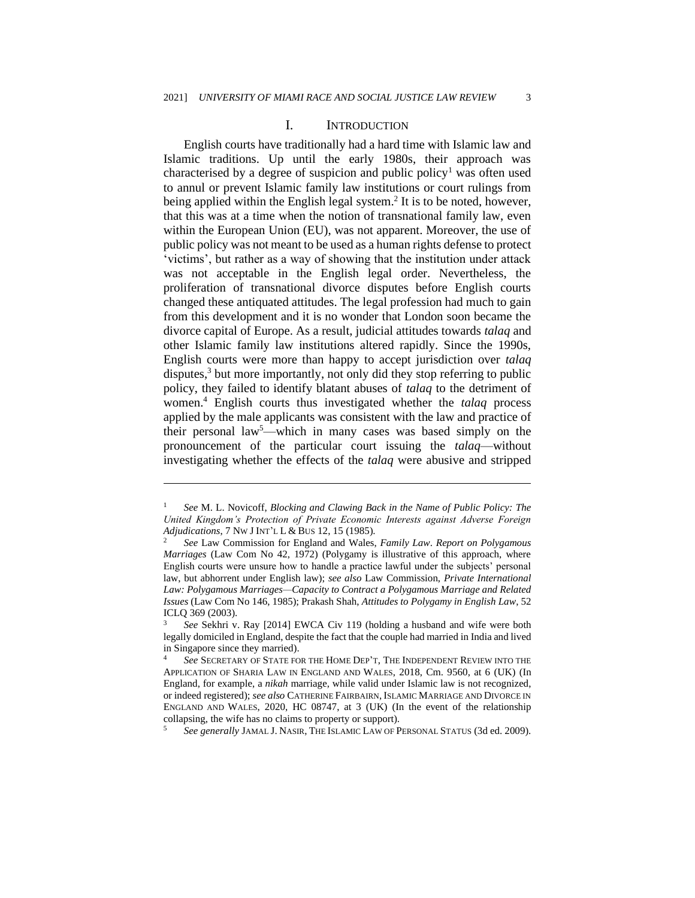#### I. INTRODUCTION

English courts have traditionally had a hard time with Islamic law and Islamic traditions. Up until the early 1980s, their approach was characterised by a degree of suspicion and public policy<sup>1</sup> was often used to annul or prevent Islamic family law institutions or court rulings from being applied within the English legal system.<sup>2</sup> It is to be noted, however, that this was at a time when the notion of transnational family law, even within the European Union (EU), was not apparent. Moreover, the use of public policy was not meant to be used as a human rights defense to protect 'victims', but rather as a way of showing that the institution under attack was not acceptable in the English legal order. Nevertheless, the proliferation of transnational divorce disputes before English courts changed these antiquated attitudes. The legal profession had much to gain from this development and it is no wonder that London soon became the divorce capital of Europe. As a result, judicial attitudes towards *talaq* and other Islamic family law institutions altered rapidly. Since the 1990s, English courts were more than happy to accept jurisdiction over *talaq* disputes,<sup>3</sup> but more importantly, not only did they stop referring to public policy, they failed to identify blatant abuses of *talaq* to the detriment of women.<sup>4</sup> English courts thus investigated whether the *talaq* process applied by the male applicants was consistent with the law and practice of their personal law<sup>5</sup>—which in many cases was based simply on the pronouncement of the particular court issuing the *talaq*—without investigating whether the effects of the *talaq* were abusive and stripped

<sup>1</sup> *See* M. L. Novicoff, *Blocking and Clawing Back in the Name of Public Policy: The United Kingdom's Protection of Private Economic Interests against Adverse Foreign Adjudications*, 7 NW J INT'L L & BUS 12, 15 (1985).

<sup>2</sup> *See* Law Commission for England and Wales, *Family Law*. *Report on Polygamous Marriages* (Law Com No 42, 1972) (Polygamy is illustrative of this approach, where English courts were unsure how to handle a practice lawful under the subjects' personal law, but abhorrent under English law); *see also* Law Commission, *Private International Law: Polygamous Marriages—Capacity to Contract a Polygamous Marriage and Related Issues* (Law Com No 146, 1985); Prakash Shah, *Attitudes to Polygamy in English Law*, 52 ICLQ 369 (2003).

<sup>3</sup> *See* Sekhri v. Ray [2014] EWCA Civ 119 (holding a husband and wife were both legally domiciled in England, despite the fact that the couple had married in India and lived in Singapore since they married).

<sup>4</sup> *See* SECRETARY OF STATE FOR THE HOME DEP'T, THE INDEPENDENT REVIEW INTO THE APPLICATION OF SHARIA LAW IN ENGLAND AND WALES, 2018, Cm. 9560, at 6 (UK) (In England, for example, a *nikah* marriage, while valid under Islamic law is not recognized, or indeed registered); *see also* CATHERINE FAIRBAIRN, ISLAMIC MARRIAGE AND DIVORCE IN ENGLAND AND WALES, 2020, HC 08747, at 3 (UK) (In the event of the relationship collapsing, the wife has no claims to property or support).

<sup>5</sup> *See generally* JAMAL J. NASIR, THE ISLAMIC LAW OF PERSONAL STATUS (3d ed. 2009).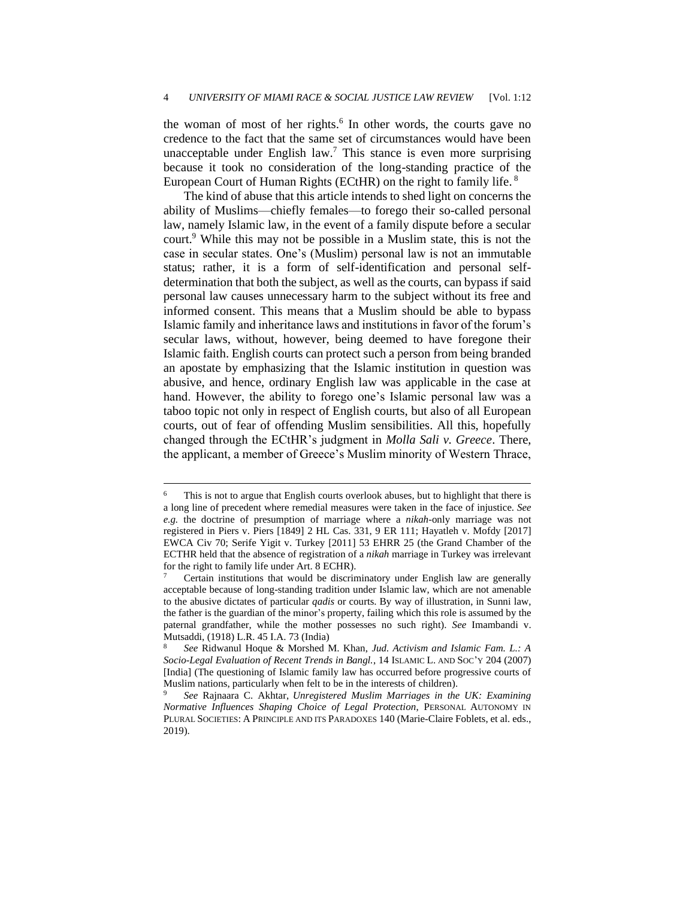the woman of most of her rights.<sup>6</sup> In other words, the courts gave no credence to the fact that the same set of circumstances would have been unacceptable under English law.<sup>7</sup> This stance is even more surprising because it took no consideration of the long-standing practice of the European Court of Human Rights (ECtHR) on the right to family life. <sup>8</sup>

The kind of abuse that this article intends to shed light on concerns the ability of Muslims—chiefly females—to forego their so-called personal law, namely Islamic law, in the event of a family dispute before a secular court.<sup>9</sup> While this may not be possible in a Muslim state, this is not the case in secular states. One's (Muslim) personal law is not an immutable status; rather, it is a form of self-identification and personal selfdetermination that both the subject, as well as the courts, can bypass if said personal law causes unnecessary harm to the subject without its free and informed consent. This means that a Muslim should be able to bypass Islamic family and inheritance laws and institutions in favor of the forum's secular laws, without, however, being deemed to have foregone their Islamic faith. English courts can protect such a person from being branded an apostate by emphasizing that the Islamic institution in question was abusive, and hence, ordinary English law was applicable in the case at hand. However, the ability to forego one's Islamic personal law was a taboo topic not only in respect of English courts, but also of all European courts, out of fear of offending Muslim sensibilities. All this, hopefully changed through the ECtHR's judgment in *Molla Sali v. Greece*. There, the applicant, a member of Greece's Muslim minority of Western Thrace,

This is not to argue that English courts overlook abuses, but to highlight that there is a long line of precedent where remedial measures were taken in the face of injustice. *See e.g.* the doctrine of presumption of marriage where a *nikah*-only marriage was not registered in Piers v. Piers [1849] 2 HL Cas. 331, 9 ER 111; Hayatleh v. Mofdy [2017] EWCA Civ 70; Serife Yigit v. Turkey [2011] 53 EHRR 25 (the Grand Chamber of the ECTHR held that the absence of registration of a *nikah* marriage in Turkey was irrelevant for the right to family life under Art. 8 ECHR).

<sup>7</sup> Certain institutions that would be discriminatory under English law are generally acceptable because of long-standing tradition under Islamic law, which are not amenable to the abusive dictates of particular *qadis* or courts. By way of illustration, in Sunni law, the father is the guardian of the minor's property, failing which this role is assumed by the paternal grandfather, while the mother possesses no such right). *See* Imambandi v. Mutsaddi, (1918) L.R. 45 I.A. 73 (India)

<sup>8</sup> *See* Ridwanul Hoque & Morshed M. Khan, *Jud. Activism and Islamic Fam. L.: A Socio-Legal Evaluation of Recent Trends in Bangl.*, 14 ISLAMIC L. AND SOC'Y 204 (2007) [India] (The questioning of Islamic family law has occurred before progressive courts of Muslim nations, particularly when felt to be in the interests of children).

<sup>9</sup> *See* Rajnaara C. Akhtar, *Unregistered Muslim Marriages in the UK: Examining Normative Influences Shaping Choice of Legal Protection*, PERSONAL AUTONOMY IN PLURAL SOCIETIES: A PRINCIPLE AND ITS PARADOXES 140 (Marie-Claire Foblets, et al. eds., 2019).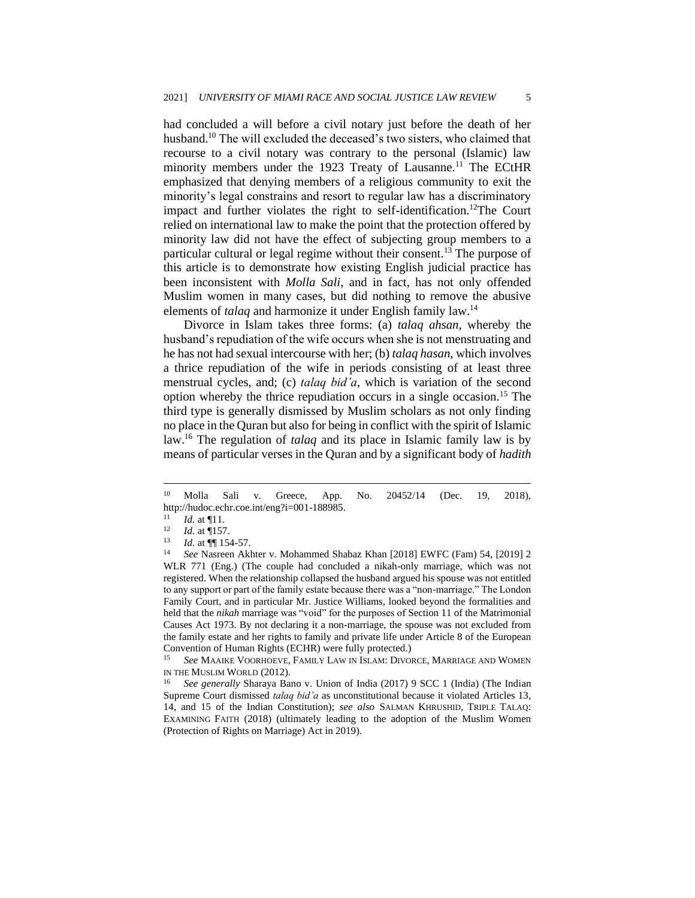had concluded a will before a civil notary just before the death of her husband.<sup>10</sup> The will excluded the deceased's two sisters, who claimed that recourse to a civil notary was contrary to the personal (Islamic) law minority members under the 1923 Treaty of Lausanne.<sup>11</sup> The ECtHR emphasized that denying members of a religious community to exit the minority's legal constrains and resort to regular law has a discriminatory impact and further violates the right to self-identification.<sup>12</sup>The Court relied on international law to make the point that the protection offered by minority law did not have the effect of subjecting group members to a particular cultural or legal regime without their consent.<sup>13</sup> The purpose of this article is to demonstrate how existing English judicial practice has been inconsistent with *Molla Sali*, and in fact, has not only offended Muslim women in many cases, but did nothing to remove the abusive elements of *talaq* and harmonize it under English family law.<sup>14</sup>

Divorce in Islam takes three forms: (a) *talaq ahsan*, whereby the husband's repudiation of the wife occurs when she is not menstruating and he has not had sexual intercourse with her; (b) *talaq hasan*, which involves a thrice repudiation of the wife in periods consisting of at least three menstrual cycles, and; (c) *talaq bid'a*, which is variation of the second option whereby the thrice repudiation occurs in a single occasion.<sup>15</sup> The third type is generally dismissed by Muslim scholars as not only finding no place in the Quran but also for being in conflict with the spirit of Islamic law.<sup>16</sup> The regulation of *talaq* and its place in Islamic family law is by means of particular verses in the Quran and by a significant body of *hadith*

See MAAIKE VOORHOEVE, FAMILY LAW IN ISLAM: DIVORCE, MARRIAGE AND WOMEN IN THE MUSLIM WORLD (2012).

<sup>10</sup> Molla Sali v. Greece, App. No. 20452/14 (Dec. 19, 2018), http://hudoc.echr.coe.int/eng?i=001-188985.<br> $\frac{11}{11}$  *M* at **I11** 

 $\frac{11}{12}$  *Id.* at 11.

 $\frac{12}{13}$  *Id.* at 157.

 $13$  *Id.* at  $\P$  154-57.

<sup>14</sup> *See* Nasreen Akhter v. Mohammed Shabaz Khan [2018] EWFC (Fam) 54, [2019] 2 WLR 771 (Eng.) (The couple had concluded a nikah-only marriage, which was not registered. When the relationship collapsed the husband argued his spouse was not entitled to any support or part of the family estate because there was a "non-marriage." The London Family Court, and in particular Mr. Justice Williams, looked beyond the formalities and held that the *nikah* marriage was "void" for the purposes of Section 11 of the Matrimonial Causes Act 1973. By not declaring it a non-marriage, the spouse was not excluded from the family estate and her rights to family and private life under Article 8 of the European Convention of Human Rights (ECHR) were fully protected.)

<sup>16</sup> *See generally* Sharaya Bano v. Union of India (2017) 9 SCC 1 (India) (The Indian Supreme Court dismissed *talaq bid'a* as unconstitutional because it violated Articles 13, 14, and 15 of the Indian Constitution); *see also* SALMAN KHRUSHID, TRIPLE TALAQ: EXAMINING FAITH (2018) (ultimately leading to the adoption of the Muslim Women (Protection of Rights on Marriage) Act in 2019).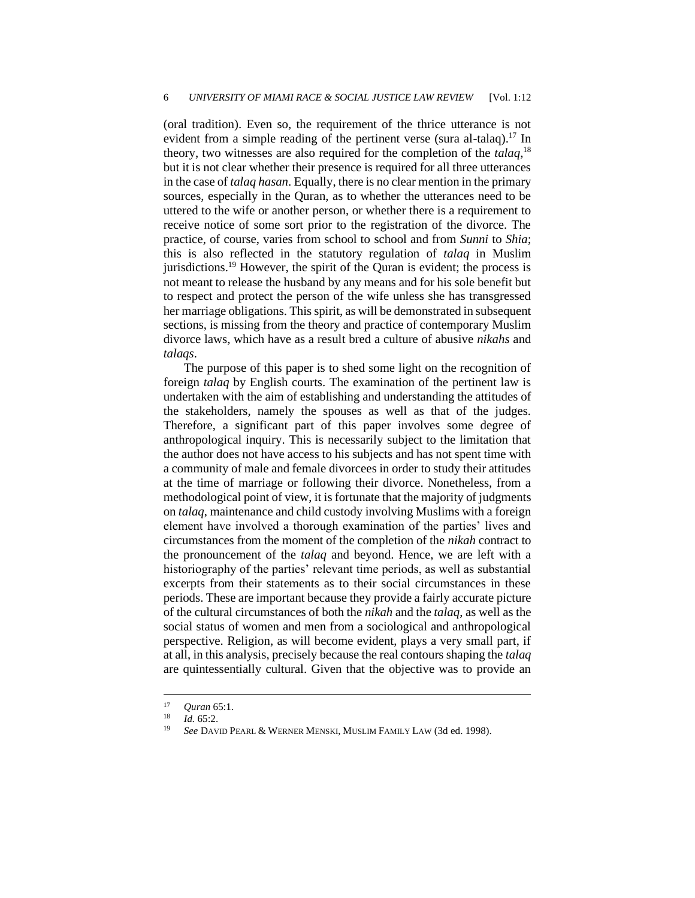(oral tradition). Even so, the requirement of the thrice utterance is not evident from a simple reading of the pertinent verse (sura al-talaq).<sup>17</sup> In theory, two witnesses are also required for the completion of the *talaq*, 18 but it is not clear whether their presence is required for all three utterances in the case of *talaq hasan*. Equally, there is no clear mention in the primary sources, especially in the Quran, as to whether the utterances need to be uttered to the wife or another person, or whether there is a requirement to receive notice of some sort prior to the registration of the divorce. The practice, of course, varies from school to school and from *Sunni* to *Shia*; this is also reflected in the statutory regulation of *talaq* in Muslim jurisdictions.<sup>19</sup> However, the spirit of the Quran is evident; the process is not meant to release the husband by any means and for his sole benefit but to respect and protect the person of the wife unless she has transgressed her marriage obligations. This spirit, as will be demonstrated in subsequent sections, is missing from the theory and practice of contemporary Muslim divorce laws, which have as a result bred a culture of abusive *nikahs* and *talaqs*.

The purpose of this paper is to shed some light on the recognition of foreign *talaq* by English courts. The examination of the pertinent law is undertaken with the aim of establishing and understanding the attitudes of the stakeholders, namely the spouses as well as that of the judges. Therefore, a significant part of this paper involves some degree of anthropological inquiry. This is necessarily subject to the limitation that the author does not have access to his subjects and has not spent time with a community of male and female divorcees in order to study their attitudes at the time of marriage or following their divorce. Nonetheless, from a methodological point of view, it is fortunate that the majority of judgments on *talaq*, maintenance and child custody involving Muslims with a foreign element have involved a thorough examination of the parties' lives and circumstances from the moment of the completion of the *nikah* contract to the pronouncement of the *talaq* and beyond. Hence, we are left with a historiography of the parties' relevant time periods, as well as substantial excerpts from their statements as to their social circumstances in these periods. These are important because they provide a fairly accurate picture of the cultural circumstances of both the *nikah* and the *talaq*, as well as the social status of women and men from a sociological and anthropological perspective. Religion, as will become evident, plays a very small part, if at all, in this analysis, precisely because the real contours shaping the *talaq* are quintessentially cultural. Given that the objective was to provide an

<sup>&</sup>lt;sup>17</sup> *Quran* 65:1.

 $\frac{18}{19}$  *Id.* 65:2.

<sup>19</sup> *See* DAVID PEARL & WERNER MENSKI, MUSLIM FAMILY LAW (3d ed. 1998).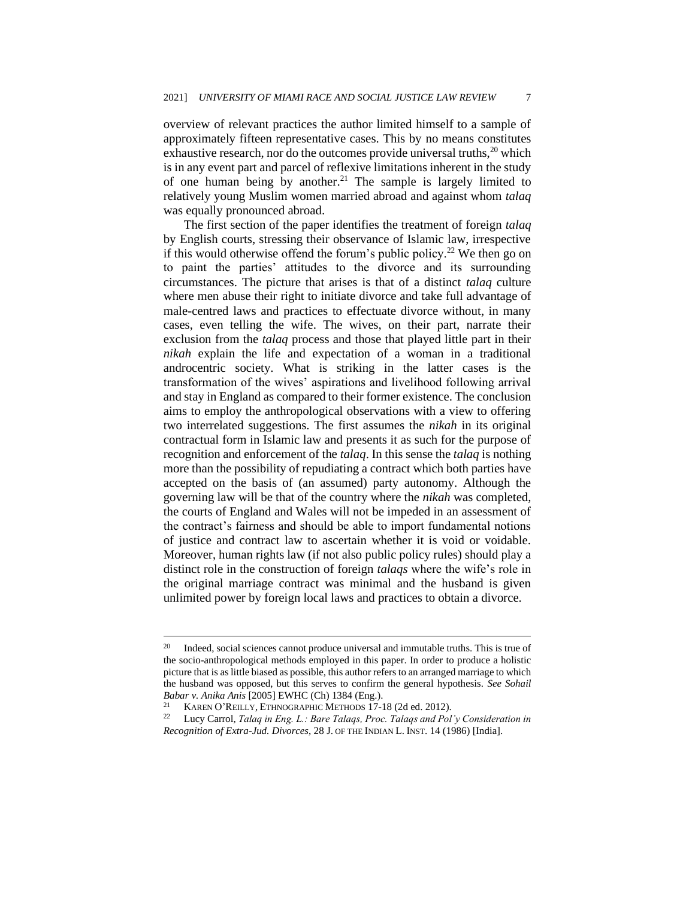overview of relevant practices the author limited himself to a sample of approximately fifteen representative cases. This by no means constitutes exhaustive research, nor do the outcomes provide universal truths,<sup>20</sup> which is in any event part and parcel of reflexive limitations inherent in the study of one human being by another.<sup>21</sup> The sample is largely limited to relatively young Muslim women married abroad and against whom *talaq* was equally pronounced abroad.

The first section of the paper identifies the treatment of foreign *talaq* by English courts, stressing their observance of Islamic law, irrespective if this would otherwise offend the forum's public policy.<sup>22</sup> We then go on to paint the parties' attitudes to the divorce and its surrounding circumstances. The picture that arises is that of a distinct *talaq* culture where men abuse their right to initiate divorce and take full advantage of male-centred laws and practices to effectuate divorce without, in many cases, even telling the wife. The wives, on their part, narrate their exclusion from the *talaq* process and those that played little part in their *nikah* explain the life and expectation of a woman in a traditional androcentric society. What is striking in the latter cases is the transformation of the wives' aspirations and livelihood following arrival and stay in England as compared to their former existence. The conclusion aims to employ the anthropological observations with a view to offering two interrelated suggestions. The first assumes the *nikah* in its original contractual form in Islamic law and presents it as such for the purpose of recognition and enforcement of the *talaq*. In this sense the *talaq* is nothing more than the possibility of repudiating a contract which both parties have accepted on the basis of (an assumed) party autonomy. Although the governing law will be that of the country where the *nikah* was completed, the courts of England and Wales will not be impeded in an assessment of the contract's fairness and should be able to import fundamental notions of justice and contract law to ascertain whether it is void or voidable. Moreover, human rights law (if not also public policy rules) should play a distinct role in the construction of foreign *talaqs* where the wife's role in the original marriage contract was minimal and the husband is given unlimited power by foreign local laws and practices to obtain a divorce.

<sup>&</sup>lt;sup>20</sup> Indeed, social sciences cannot produce universal and immutable truths. This is true of the socio-anthropological methods employed in this paper. In order to produce a holistic picture that is as little biased as possible, this author refers to an arranged marriage to which the husband was opposed, but this serves to confirm the general hypothesis. *See Sohail Babar v. Anika Anis* [2005] EWHC (Ch) 1384 (Eng.).

<sup>&</sup>lt;sup>21</sup> KAREN O'REILLY, ETHNOGRAPHIC METHODS 17-18 (2d ed. 2012).<br><sup>22</sup> Lucy Carrol *Talaa in Eng L.: Bare Talaas Proc. Talaas and Pol* 

<sup>22</sup> Lucy Carrol, *Talaq in Eng. L.: Bare Talaqs, Proc. Talaqs and Pol'y Consideration in Recognition of Extra-Jud. Divorces*, 28 J. OF THE INDIAN L. INST. 14 (1986) [India].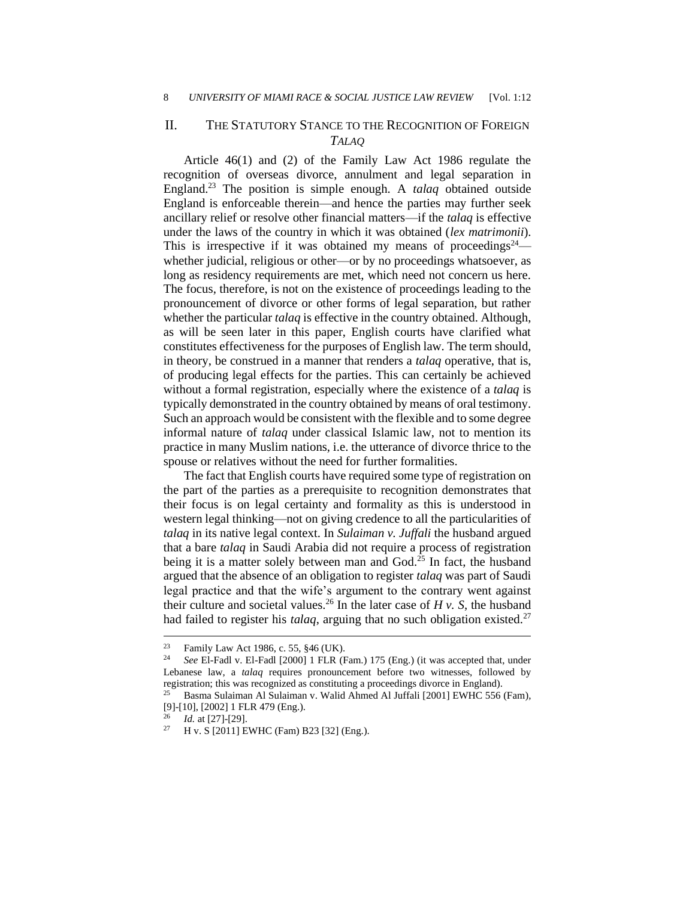#### II. THE STATUTORY STANCE TO THE RECOGNITION OF FOREIGN *TALAQ*

Article 46(1) and (2) of the Family Law Act 1986 regulate the recognition of overseas divorce, annulment and legal separation in England.<sup>23</sup> The position is simple enough. A *talaq* obtained outside England is enforceable therein—and hence the parties may further seek ancillary relief or resolve other financial matters—if the *talaq* is effective under the laws of the country in which it was obtained (*lex matrimonii*). This is irrespective if it was obtained my means of proceedings<sup>24</sup> whether judicial, religious or other—or by no proceedings whatsoever, as long as residency requirements are met, which need not concern us here. The focus, therefore, is not on the existence of proceedings leading to the pronouncement of divorce or other forms of legal separation, but rather whether the particular *talaq* is effective in the country obtained. Although, as will be seen later in this paper, English courts have clarified what constitutes effectiveness for the purposes of English law. The term should, in theory, be construed in a manner that renders a *talaq* operative, that is, of producing legal effects for the parties. This can certainly be achieved without a formal registration, especially where the existence of a *talaq* is typically demonstrated in the country obtained by means of oral testimony. Such an approach would be consistent with the flexible and to some degree informal nature of *talaq* under classical Islamic law, not to mention its practice in many Muslim nations, i.e. the utterance of divorce thrice to the spouse or relatives without the need for further formalities.

The fact that English courts have required some type of registration on the part of the parties as a prerequisite to recognition demonstrates that their focus is on legal certainty and formality as this is understood in western legal thinking—not on giving credence to all the particularities of *talaq* in its native legal context. In *Sulaiman v. Juffali* the husband argued that a bare *talaq* in Saudi Arabia did not require a process of registration being it is a matter solely between man and God. $^{25}$  In fact, the husband argued that the absence of an obligation to register *talaq* was part of Saudi legal practice and that the wife's argument to the contrary went against their culture and societal values.<sup>26</sup> In the later case of  $H v$ . S, the husband had failed to register his *talaq*, arguing that no such obligation existed.<sup>27</sup>

<sup>23</sup> Family Law Act 1986, c. 55, §46 (UK).

<sup>24</sup> *See* El-Fadl v. El-Fadl [2000] 1 FLR (Fam.) 175 (Eng.) (it was accepted that, under Lebanese law, a *talaq* requires pronouncement before two witnesses, followed by registration; this was recognized as constituting a proceedings divorce in England).

<sup>25</sup> Basma Sulaiman Al Sulaiman v. Walid Ahmed Al Juffali [2001] EWHC 556 (Fam), [9]-[10], [2002] 1 FLR 479 (Eng.).

 $\frac{26}{27}$  *Id.* at [27]-[29].

<sup>27</sup> H v. S [2011] EWHC (Fam) B23 [32] (Eng.).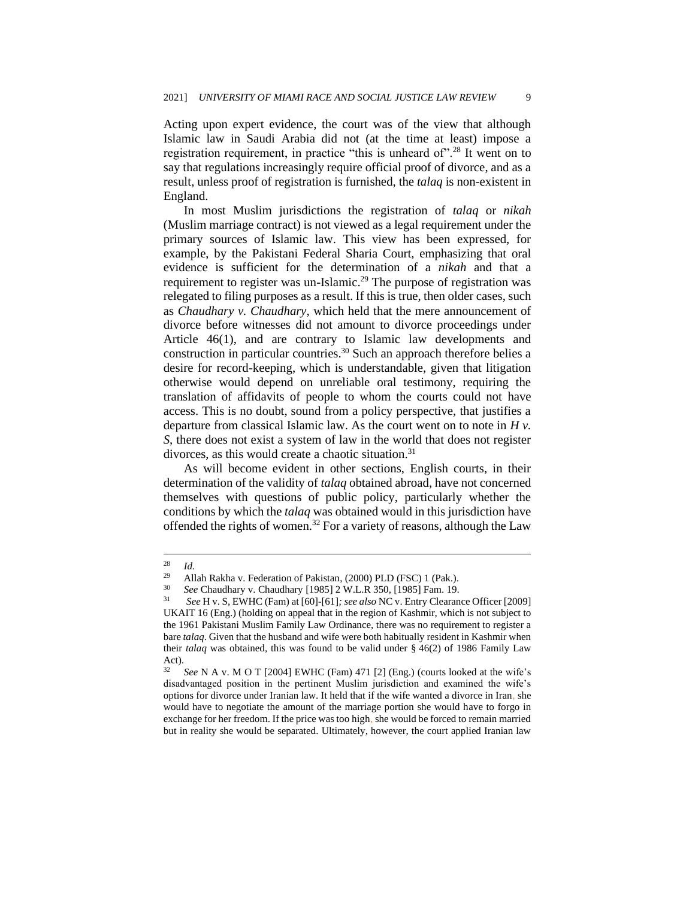Acting upon expert evidence, the court was of the view that although Islamic law in Saudi Arabia did not (at the time at least) impose a registration requirement, in practice "this is unheard of".<sup>28</sup> It went on to say that regulations increasingly require official proof of divorce, and as a result, unless proof of registration is furnished, the *talaq* is non-existent in England.

In most Muslim jurisdictions the registration of *talaq* or *nikah* (Muslim marriage contract) is not viewed as a legal requirement under the primary sources of Islamic law. This view has been expressed, for example, by the Pakistani Federal Sharia Court, emphasizing that oral evidence is sufficient for the determination of a *nikah* and that a requirement to register was un-Islamic.<sup>29</sup> The purpose of registration was relegated to filing purposes as a result. If this is true, then older cases, such as *Chaudhary v. Chaudhary*, which held that the mere announcement of divorce before witnesses did not amount to divorce proceedings under Article 46(1), and are contrary to Islamic law developments and construction in particular countries.<sup>30</sup> Such an approach therefore belies a desire for record-keeping, which is understandable, given that litigation otherwise would depend on unreliable oral testimony, requiring the translation of affidavits of people to whom the courts could not have access. This is no doubt, sound from a policy perspective, that justifies a departure from classical Islamic law. As the court went on to note in *H v. S*, there does not exist a system of law in the world that does not register divorces, as this would create a chaotic situation.<sup>31</sup>

As will become evident in other sections, English courts, in their determination of the validity of *talaq* obtained abroad, have not concerned themselves with questions of public policy, particularly whether the conditions by which the *talaq* was obtained would in this jurisdiction have offended the rights of women.<sup>32</sup> For a variety of reasons, although the Law

 $rac{28}{29}$  *Id.* 

<sup>&</sup>lt;sup>29</sup> Allah Rakha v. Federation of Pakistan, (2000) PLD (FSC) 1 (Pak.).<br><sup>30</sup> See Chaudhary v. Chaudhary 119851.2 W.L. P. 350, 119851 Fam. 19.

<sup>30</sup> *See* Chaudhary v. Chaudhary [1985] 2 W.L.R 350, [1985] Fam. 19.

<sup>31</sup> *See* H v. S, EWHC (Fam) at [60]-[61]*; see also* NC v. Entry Clearance Officer [2009] UKAIT 16 (Eng.) (holding on appeal that in the region of Kashmir, which is not subject to the 1961 Pakistani Muslim Family Law Ordinance, there was no requirement to register a bare *talaq*. Given that the husband and wife were both habitually resident in Kashmir when their *talaq* was obtained, this was found to be valid under § 46(2) of 1986 Family Law Act).

<sup>32</sup> *See* N A v. M O T [2004] EWHC (Fam) 471 [2] (Eng.) (courts looked at the wife's disadvantaged position in the pertinent Muslim jurisdiction and examined the wife's options for divorce under Iranian law. It held that if the wife wanted a divorce in Iran, she would have to negotiate the amount of the marriage portion she would have to forgo in exchange for her freedom. If the price was too high, she would be forced to remain married but in reality she would be separated. Ultimately, however, the court applied Iranian law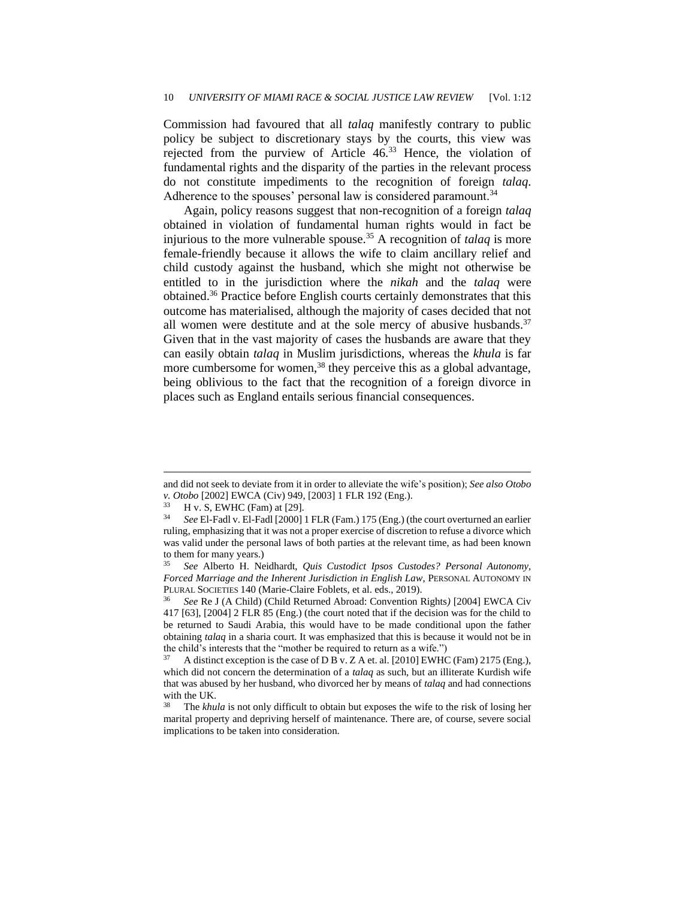Commission had favoured that all *talaq* manifestly contrary to public policy be subject to discretionary stays by the courts, this view was rejected from the purview of Article 46.<sup>33</sup> Hence, the violation of fundamental rights and the disparity of the parties in the relevant process do not constitute impediments to the recognition of foreign *talaq*. Adherence to the spouses' personal law is considered paramount.<sup>34</sup>

Again, policy reasons suggest that non-recognition of a foreign *talaq* obtained in violation of fundamental human rights would in fact be injurious to the more vulnerable spouse.<sup>35</sup> A recognition of *talaq* is more female-friendly because it allows the wife to claim ancillary relief and child custody against the husband, which she might not otherwise be entitled to in the jurisdiction where the *nikah* and the *talaq* were obtained.<sup>36</sup> Practice before English courts certainly demonstrates that this outcome has materialised, although the majority of cases decided that not all women were destitute and at the sole mercy of abusive husbands. $37$ Given that in the vast majority of cases the husbands are aware that they can easily obtain *talaq* in Muslim jurisdictions, whereas the *khula* is far more cumbersome for women,<sup>38</sup> they perceive this as a global advantage, being oblivious to the fact that the recognition of a foreign divorce in places such as England entails serious financial consequences.

and did not seek to deviate from it in order to alleviate the wife's position); *See also Otobo v. Otobo* [2002] EWCA (Civ) 949, [2003] 1 FLR 192 (Eng.).

 $^{33}$  H v. S, EWHC (Fam) at [29].<br> $^{34}$  See ELFadl v. ELFadl [2000]

<sup>34</sup> *See* El-Fadl v. El-Fadl [2000] 1 FLR (Fam.) 175 (Eng.) (the court overturned an earlier ruling, emphasizing that it was not a proper exercise of discretion to refuse a divorce which was valid under the personal laws of both parties at the relevant time, as had been known to them for many years.)

<sup>35</sup> *See* Alberto H. Neidhardt, *Quis Custodict Ipsos Custodes? Personal Autonomy, Forced Marriage and the Inherent Jurisdiction in English Law*, PERSONAL AUTONOMY IN PLURAL SOCIETIES 140 (Marie-Claire Foblets, et al. eds., 2019).

<sup>36</sup> *See* Re J (A Child) (Child Returned Abroad: Convention Rights*)* [2004] EWCA Civ 417 [63], [2004] 2 FLR 85 (Eng.) (the court noted that if the decision was for the child to be returned to Saudi Arabia, this would have to be made conditional upon the father obtaining *talaq* in a sharia court. It was emphasized that this is because it would not be in the child's interests that the "mother be required to return as a wife.")

<sup>37</sup> A distinct exception is the case of D B v. Z A et. al. [2010] EWHC (Fam) 2175 (Eng.), which did not concern the determination of a *talaq* as such, but an illiterate Kurdish wife that was abused by her husband, who divorced her by means of *talaq* and had connections with the UK.

<sup>38</sup> The *khula* is not only difficult to obtain but exposes the wife to the risk of losing her marital property and depriving herself of maintenance. There are, of course, severe social implications to be taken into consideration.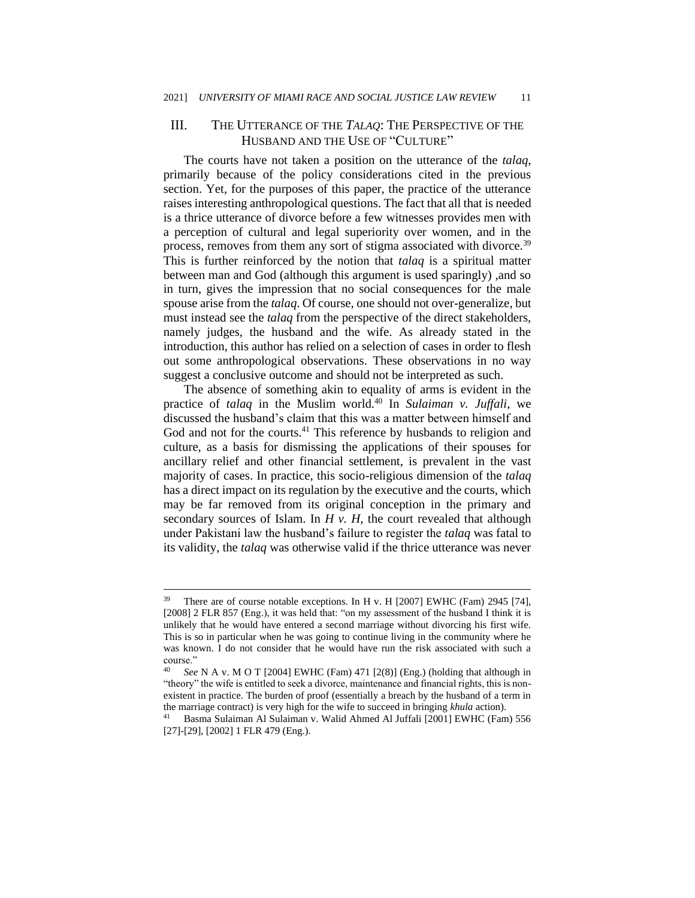### III. THE UTTERANCE OF THE *TALAQ*: THE PERSPECTIVE OF THE HUSBAND AND THE USE OF "CULTURE"

The courts have not taken a position on the utterance of the *talaq*, primarily because of the policy considerations cited in the previous section. Yet, for the purposes of this paper, the practice of the utterance raises interesting anthropological questions. The fact that all that is needed is a thrice utterance of divorce before a few witnesses provides men with a perception of cultural and legal superiority over women, and in the process, removes from them any sort of stigma associated with divorce.<sup>39</sup> This is further reinforced by the notion that *talaq* is a spiritual matter between man and God (although this argument is used sparingly) ,and so in turn, gives the impression that no social consequences for the male spouse arise from the *talaq*. Of course, one should not over-generalize, but must instead see the *talaq* from the perspective of the direct stakeholders, namely judges, the husband and the wife. As already stated in the introduction, this author has relied on a selection of cases in order to flesh out some anthropological observations. These observations in no way suggest a conclusive outcome and should not be interpreted as such.

The absence of something akin to equality of arms is evident in the practice of *talaq* in the Muslim world.<sup>40</sup> In *Sulaiman v. Juffali*, we discussed the husband's claim that this was a matter between himself and God and not for the courts.<sup>41</sup> This reference by husbands to religion and culture, as a basis for dismissing the applications of their spouses for ancillary relief and other financial settlement, is prevalent in the vast majority of cases. In practice, this socio-religious dimension of the *talaq* has a direct impact on its regulation by the executive and the courts, which may be far removed from its original conception in the primary and secondary sources of Islam. In *H v. H*, the court revealed that although under Pakistani law the husband's failure to register the *talaq* was fatal to its validity, the *talaq* was otherwise valid if the thrice utterance was never

<sup>&</sup>lt;sup>39</sup> There are of course notable exceptions. In H v. H [2007] EWHC (Fam) 2945 [74], [2008] 2 FLR 857 (Eng.), it was held that: "on my assessment of the husband I think it is unlikely that he would have entered a second marriage without divorcing his first wife. This is so in particular when he was going to continue living in the community where he was known. I do not consider that he would have run the risk associated with such a course."

<sup>40</sup> *See* N A v. M O T [2004] EWHC (Fam) 471 [2(8)] (Eng.) (holding that although in "theory" the wife is entitled to seek a divorce, maintenance and financial rights, this is nonexistent in practice. The burden of proof (essentially a breach by the husband of a term in the marriage contract) is very high for the wife to succeed in bringing *khula* action).

<sup>41</sup> Basma Sulaiman Al Sulaiman v. Walid Ahmed Al Juffali [2001] EWHC (Fam) 556 [27]-[29], [2002] 1 FLR 479 (Eng.).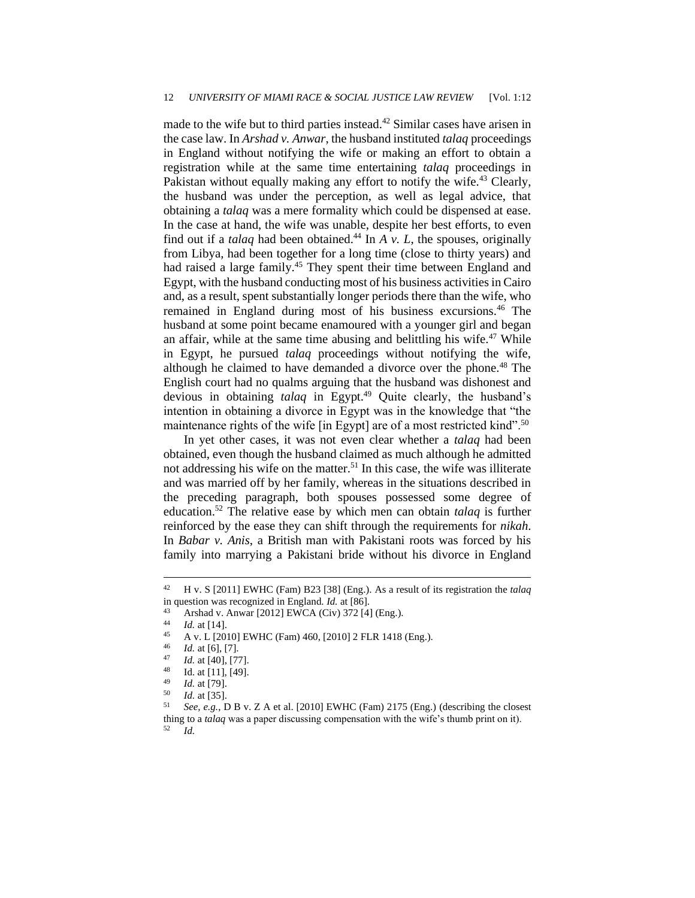made to the wife but to third parties instead.<sup>42</sup> Similar cases have arisen in the case law. In *Arshad v. Anwar*, the husband instituted *talaq* proceedings in England without notifying the wife or making an effort to obtain a registration while at the same time entertaining *talaq* proceedings in Pakistan without equally making any effort to notify the wife.<sup>43</sup> Clearly, the husband was under the perception, as well as legal advice, that obtaining a *talaq* was a mere formality which could be dispensed at ease. In the case at hand, the wife was unable, despite her best efforts, to even find out if a *talaq* had been obtained.<sup>44</sup> In  $A$   $v$ .  $L$ , the spouses, originally from Libya, had been together for a long time (close to thirty years) and had raised a large family.<sup>45</sup> They spent their time between England and Egypt, with the husband conducting most of his business activities in Cairo and, as a result, spent substantially longer periods there than the wife, who remained in England during most of his business excursions.<sup>46</sup> The husband at some point became enamoured with a younger girl and began an affair, while at the same time abusing and belittling his wife. $47$  While in Egypt, he pursued *talaq* proceedings without notifying the wife, although he claimed to have demanded a divorce over the phone.<sup>48</sup> The English court had no qualms arguing that the husband was dishonest and devious in obtaining *talaq* in Egypt.<sup>49</sup> Quite clearly, the husband's intention in obtaining a divorce in Egypt was in the knowledge that "the maintenance rights of the wife [in Egypt] are of a most restricted kind".<sup>50</sup>

In yet other cases, it was not even clear whether a *talaq* had been obtained, even though the husband claimed as much although he admitted not addressing his wife on the matter.<sup>51</sup> In this case, the wife was illiterate and was married off by her family, whereas in the situations described in the preceding paragraph, both spouses possessed some degree of education.<sup>52</sup> The relative ease by which men can obtain *talaq* is further reinforced by the ease they can shift through the requirements for *nikah*. In *Babar v. Anis*, a British man with Pakistani roots was forced by his family into marrying a Pakistani bride without his divorce in England

<sup>42</sup> H v. S [2011] EWHC (Fam) B23 [38] (Eng.). As a result of its registration the *talaq* in question was recognized in England. *Id.* at [86].

<sup>43</sup> Arshad v. Anwar [2012] EWCA (Civ) 372 [4] (Eng.).

 $\frac{44}{14}$  *Id.* at [14].

 $^{45}$  A v. L [2010] EWHC (Fam) 460, [2010] 2 FLR 1418 (Eng.).

 $\frac{46}{47}$  *Id.* at [6], [7].

 $\frac{47}{48}$  *Id.* at [40], [77].

 $^{48}$  Id. at [11], [49].

 $\frac{49}{50}$  *Id.* at [79].

 $\frac{50}{51}$  *Id.* at [35].

<sup>51</sup> *See, e.g.*, D B v. Z A et al. [2010] EWHC (Fam) 2175 (Eng.) (describing the closest thing to a *talaq* was a paper discussing compensation with the wife's thumb print on it). <sup>52</sup> *Id.*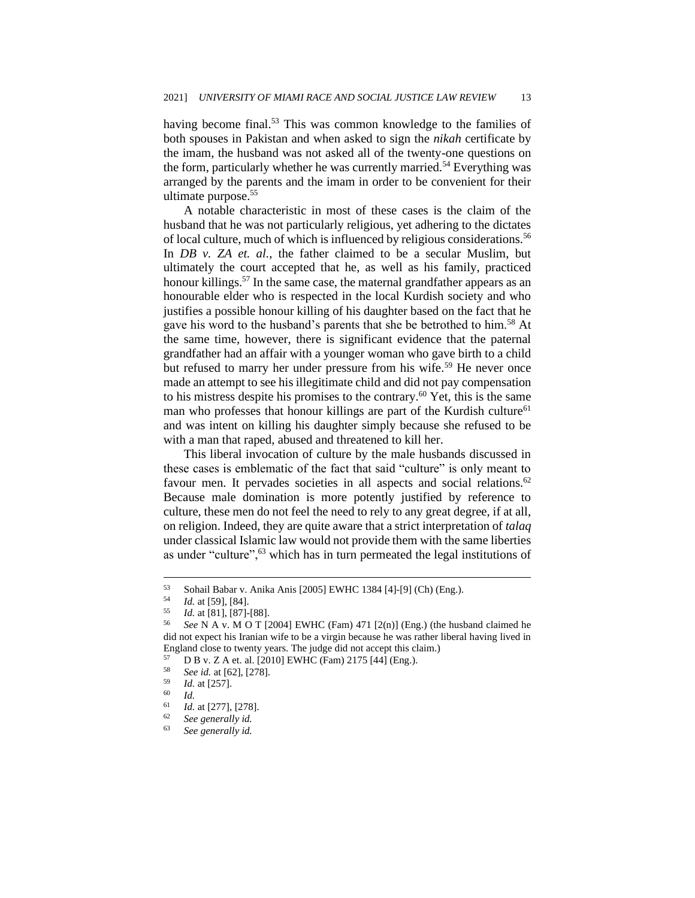having become final.<sup>53</sup> This was common knowledge to the families of both spouses in Pakistan and when asked to sign the *nikah* certificate by the imam, the husband was not asked all of the twenty-one questions on the form, particularly whether he was currently married.<sup>54</sup> Everything was arranged by the parents and the imam in order to be convenient for their ultimate purpose.<sup>55</sup>

A notable characteristic in most of these cases is the claim of the husband that he was not particularly religious, yet adhering to the dictates of local culture, much of which is influenced by religious considerations.<sup>56</sup> In *DB v. ZA et. al.*, the father claimed to be a secular Muslim, but ultimately the court accepted that he, as well as his family, practiced honour killings.<sup>57</sup> In the same case, the maternal grandfather appears as an honourable elder who is respected in the local Kurdish society and who justifies a possible honour killing of his daughter based on the fact that he gave his word to the husband's parents that she be betrothed to him.<sup>58</sup> At the same time, however, there is significant evidence that the paternal grandfather had an affair with a younger woman who gave birth to a child but refused to marry her under pressure from his wife.<sup>59</sup> He never once made an attempt to see his illegitimate child and did not pay compensation to his mistress despite his promises to the contrary.<sup>60</sup> Yet, this is the same man who professes that honour killings are part of the Kurdish culture<sup>61</sup> and was intent on killing his daughter simply because she refused to be with a man that raped, abused and threatened to kill her.

This liberal invocation of culture by the male husbands discussed in these cases is emblematic of the fact that said "culture" is only meant to favour men. It pervades societies in all aspects and social relations.<sup>62</sup> Because male domination is more potently justified by reference to culture, these men do not feel the need to rely to any great degree, if at all, on religion. Indeed, they are quite aware that a strict interpretation of *talaq* under classical Islamic law would not provide them with the same liberties as under "culture",<sup>63</sup> which has in turn permeated the legal institutions of

<sup>53</sup> Sohail Babar v. Anika Anis [2005] EWHC 1384 [4]-[9] (Ch) (Eng.).<br> $^{54}$   $^{14}$  et [50], [84]

 $\frac{54}{55}$  *Id.* at [59], [84].

<sup>55</sup> *Id.* at [81], [87]-[88].

See N A v. M O T [2004] EWHC (Fam)  $471$  [2(n)] (Eng.) (the husband claimed he did not expect his Iranian wife to be a virgin because he was rather liberal having lived in England close to twenty years. The judge did not accept this claim.)

 $57$  D B v. Z A et. al. [2010] EWHC (Fam) 2175 [44] (Eng.).<br> $58$  Sec. id. at [62] [278]

<sup>58</sup> *See id.* at [62], [278].

 $^{59}$  *Id.* at [257].

 $\begin{array}{cc} 60 & Id. \\ 61 & I. \end{array}$ 

 $\frac{61}{62}$  *Id.* at [277], [278].

<sup>62</sup> *See generally id.*

See generally id.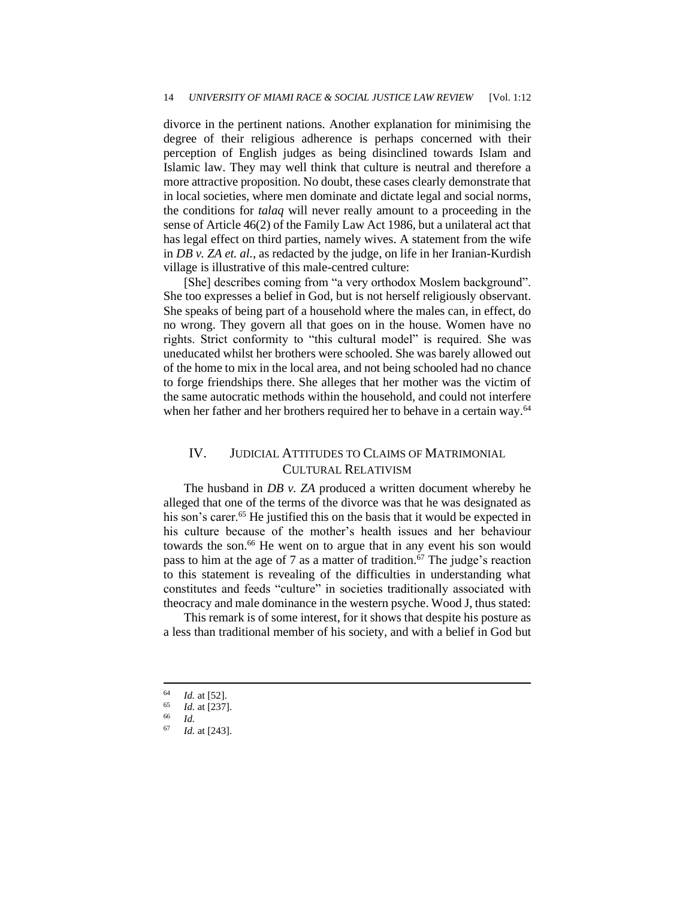divorce in the pertinent nations. Another explanation for minimising the degree of their religious adherence is perhaps concerned with their perception of English judges as being disinclined towards Islam and Islamic law. They may well think that culture is neutral and therefore a more attractive proposition. No doubt, these cases clearly demonstrate that in local societies, where men dominate and dictate legal and social norms, the conditions for *talaq* will never really amount to a proceeding in the sense of Article 46(2) of the Family Law Act 1986, but a unilateral act that has legal effect on third parties, namely wives. A statement from the wife in *DB v. ZA et. al.*, as redacted by the judge, on life in her Iranian-Kurdish village is illustrative of this male-centred culture:

[She] describes coming from "a very orthodox Moslem background". She too expresses a belief in God, but is not herself religiously observant. She speaks of being part of a household where the males can, in effect, do no wrong. They govern all that goes on in the house. Women have no rights. Strict conformity to "this cultural model" is required. She was uneducated whilst her brothers were schooled. She was barely allowed out of the home to mix in the local area, and not being schooled had no chance to forge friendships there. She alleges that her mother was the victim of the same autocratic methods within the household, and could not interfere when her father and her brothers required her to behave in a certain way.<sup>64</sup>

### IV. JUDICIAL ATTITUDES TO CLAIMS OF MATRIMONIAL CULTURAL RELATIVISM

The husband in *DB v. ZA* produced a written document whereby he alleged that one of the terms of the divorce was that he was designated as his son's carer.<sup>65</sup> He justified this on the basis that it would be expected in his culture because of the mother's health issues and her behaviour towards the son.<sup>66</sup> He went on to argue that in any event his son would pass to him at the age of 7 as a matter of tradition.<sup>67</sup> The judge's reaction to this statement is revealing of the difficulties in understanding what constitutes and feeds "culture" in societies traditionally associated with theocracy and male dominance in the western psyche. Wood J, thus stated:

This remark is of some interest, for it shows that despite his posture as a less than traditional member of his society, and with a belief in God but

 $\frac{64}{65}$  *Id.* at [52].

 $\frac{65}{66}$  *Id.* at [237].

 $\frac{66}{67}$  *Id.* 

*Id.* at [243].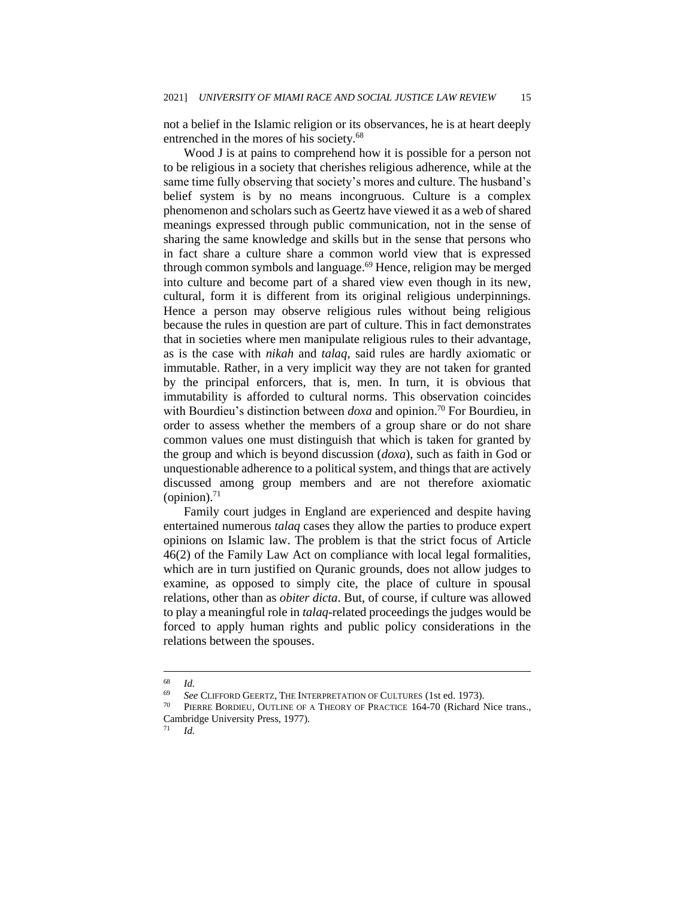not a belief in the Islamic religion or its observances, he is at heart deeply entrenched in the mores of his society.<sup>68</sup>

Wood J is at pains to comprehend how it is possible for a person not to be religious in a society that cherishes religious adherence, while at the same time fully observing that society's mores and culture. The husband's belief system is by no means incongruous. Culture is a complex phenomenon and scholars such as Geertz have viewed it as a web of shared meanings expressed through public communication, not in the sense of sharing the same knowledge and skills but in the sense that persons who in fact share a culture share a common world view that is expressed through common symbols and language.<sup>69</sup> Hence, religion may be merged into culture and become part of a shared view even though in its new, cultural, form it is different from its original religious underpinnings. Hence a person may observe religious rules without being religious because the rules in question are part of culture. This in fact demonstrates that in societies where men manipulate religious rules to their advantage, as is the case with *nikah* and *talaq*, said rules are hardly axiomatic or immutable. Rather, in a very implicit way they are not taken for granted by the principal enforcers, that is, men. In turn, it is obvious that immutability is afforded to cultural norms. This observation coincides with Bourdieu's distinction between *doxa* and opinion.<sup>70</sup> For Bourdieu, in order to assess whether the members of a group share or do not share common values one must distinguish that which is taken for granted by the group and which is beyond discussion (*doxa*), such as faith in God or unquestionable adherence to a political system, and things that are actively discussed among group members and are not therefore axiomatic (opinion). $71$ 

Family court judges in England are experienced and despite having entertained numerous *talaq* cases they allow the parties to produce expert opinions on Islamic law. The problem is that the strict focus of Article 46(2) of the Family Law Act on compliance with local legal formalities, which are in turn justified on Quranic grounds, does not allow judges to examine, as opposed to simply cite, the place of culture in spousal relations, other than as *obiter dicta*. But, of course, if culture was allowed to play a meaningful role in *talaq*-related proceedings the judges would be forced to apply human rights and public policy considerations in the relations between the spouses.

 $\frac{68}{69}$  *Id.* 

<sup>69</sup> *See* CLIFFORD GEERTZ, THE INTERPRETATION OF CULTURES (1st ed. 1973).

PIERRE BORDIEU, OUTLINE OF A THEORY OF PRACTICE 164-70 (Richard Nice trans., Cambridge University Press, 1977).

<sup>71</sup> *Id.*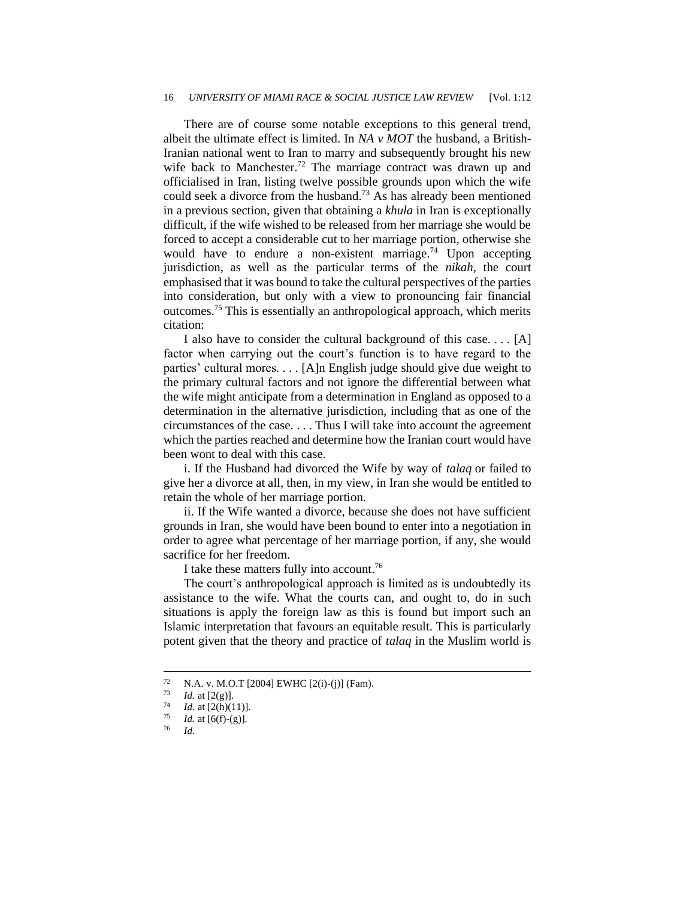#### 16 *UNIVERSITY OF MIAMI RACE & SOCIAL JUSTICE LAW REVIEW* [Vol. 1:12

There are of course some notable exceptions to this general trend, albeit the ultimate effect is limited. In *NA v MOT* the husband, a British-Iranian national went to Iran to marry and subsequently brought his new wife back to Manchester.<sup>72</sup> The marriage contract was drawn up and officialised in Iran, listing twelve possible grounds upon which the wife could seek a divorce from the husband.<sup>73</sup> As has already been mentioned in a previous section, given that obtaining a *khula* in Iran is exceptionally difficult, if the wife wished to be released from her marriage she would be forced to accept a considerable cut to her marriage portion, otherwise she would have to endure a non-existent marriage.<sup>74</sup> Upon accepting jurisdiction, as well as the particular terms of the *nikah*, the court emphasised that it was bound to take the cultural perspectives of the parties into consideration, but only with a view to pronouncing fair financial outcomes.<sup>75</sup> This is essentially an anthropological approach, which merits citation:

I also have to consider the cultural background of this case. . . . [A] factor when carrying out the court's function is to have regard to the parties' cultural mores. . . . [A]n English judge should give due weight to the primary cultural factors and not ignore the differential between what the wife might anticipate from a determination in England as opposed to a determination in the alternative jurisdiction, including that as one of the circumstances of the case. . . . Thus I will take into account the agreement which the parties reached and determine how the Iranian court would have been wont to deal with this case.

i. If the Husband had divorced the Wife by way of *talaq* or failed to give her a divorce at all, then, in my view, in Iran she would be entitled to retain the whole of her marriage portion.

ii. If the Wife wanted a divorce, because she does not have sufficient grounds in Iran, she would have been bound to enter into a negotiation in order to agree what percentage of her marriage portion, if any, she would sacrifice for her freedom.

I take these matters fully into account.<sup>76</sup>

The court's anthropological approach is limited as is undoubtedly its assistance to the wife. What the courts can, and ought to, do in such situations is apply the foreign law as this is found but import such an Islamic interpretation that favours an equitable result. This is particularly potent given that the theory and practice of *talaq* in the Muslim world is

<sup>&</sup>lt;sup>72</sup> N.A. v. M.O.T [2004] EWHC [2(i)-(j)] (Fam).<br><sup>73</sup> Id at [2(g)]

 $\frac{73}{74}$  *Id.* at [2(g)].

<sup>&</sup>lt;sup>74</sup> *Id.* at [2(h)(11)].

 $\frac{75}{76}$  *Id.* at [6(f)-(g)].

<sup>76</sup> *Id.*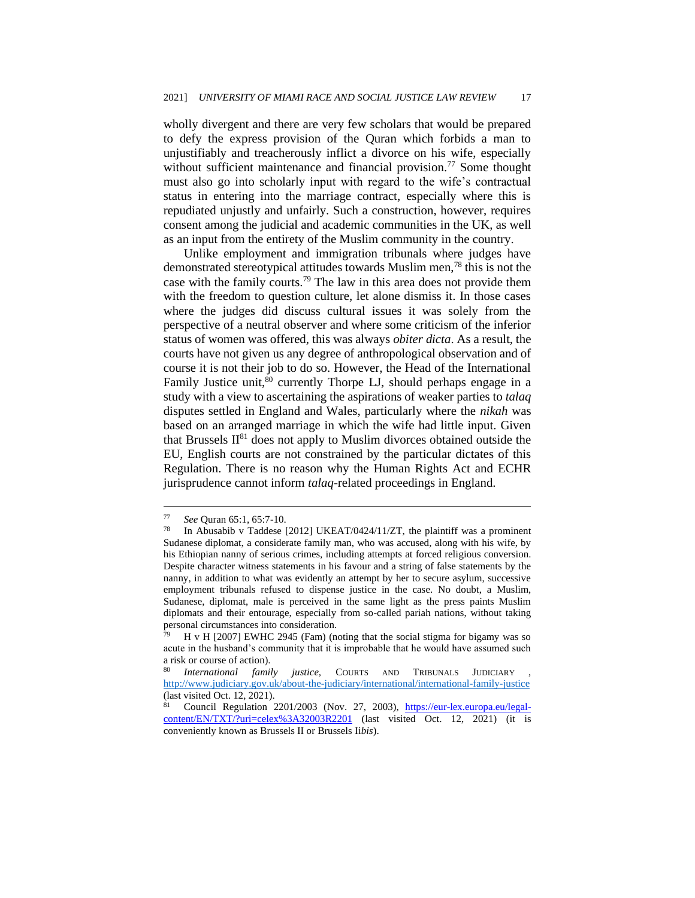wholly divergent and there are very few scholars that would be prepared to defy the express provision of the Quran which forbids a man to unjustifiably and treacherously inflict a divorce on his wife, especially without sufficient maintenance and financial provision.<sup>77</sup> Some thought must also go into scholarly input with regard to the wife's contractual status in entering into the marriage contract, especially where this is repudiated unjustly and unfairly. Such a construction, however, requires consent among the judicial and academic communities in the UK, as well as an input from the entirety of the Muslim community in the country.

Unlike employment and immigration tribunals where judges have demonstrated stereotypical attitudes towards Muslim men,<sup>78</sup> this is not the case with the family courts.<sup>79</sup> The law in this area does not provide them with the freedom to question culture, let alone dismiss it. In those cases where the judges did discuss cultural issues it was solely from the perspective of a neutral observer and where some criticism of the inferior status of women was offered, this was always *obiter dicta*. As a result, the courts have not given us any degree of anthropological observation and of course it is not their job to do so. However, the Head of the International Family Justice unit,<sup>80</sup> currently Thorpe LJ, should perhaps engage in a study with a view to ascertaining the aspirations of weaker parties to *talaq* disputes settled in England and Wales, particularly where the *nikah* was based on an arranged marriage in which the wife had little input. Given that Brussels  $II^{81}$  does not apply to Muslim divorces obtained outside the EU, English courts are not constrained by the particular dictates of this Regulation. There is no reason why the Human Rights Act and ECHR jurisprudence cannot inform *talaq*-related proceedings in England.

<sup>77</sup> *See* Quran 65:1, 65:7-10.

<sup>78</sup> In Abusabib v Taddese [2012] UKEAT/0424/11/ZT, the plaintiff was a prominent Sudanese diplomat, a considerate family man, who was accused, along with his wife, by his Ethiopian nanny of serious crimes, including attempts at forced religious conversion. Despite character witness statements in his favour and a string of false statements by the nanny, in addition to what was evidently an attempt by her to secure asylum, successive employment tribunals refused to dispense justice in the case. No doubt, a Muslim, Sudanese, diplomat, male is perceived in the same light as the press paints Muslim diplomats and their entourage, especially from so-called pariah nations, without taking personal circumstances into consideration.

H v H [2007] EWHC 2945 (Fam) (noting that the social stigma for bigamy was so acute in the husband's community that it is improbable that he would have assumed such a risk or course of action).

International family justice, COURTS AND TRIBUNALS JUDICIARY <http://www.judiciary.gov.uk/about-the-judiciary/international/international-family-justice> (last visited Oct. 12, 2021).

<sup>81</sup> Council Regulation 2201/2003 (Nov. 27, 2003), https://eur-lex.europa.eu/legalcontent/EN/TXT/?uri=celex%3A32003R2201 (last visited Oct. 12, 2021) (it is conveniently known as Brussels II or Brussels Ii*bis*).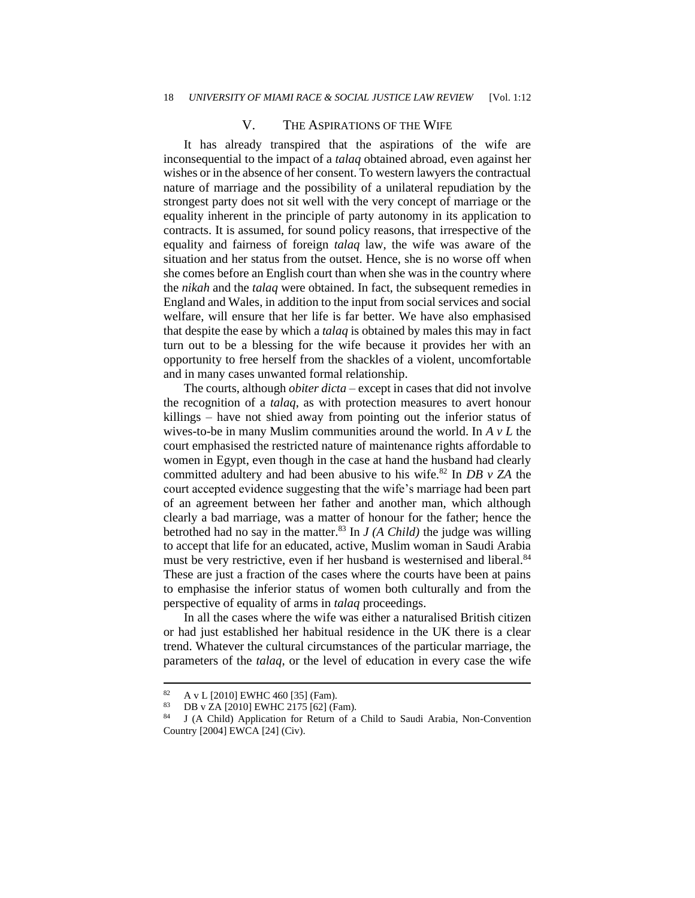#### V. THE ASPIRATIONS OF THE WIFE

It has already transpired that the aspirations of the wife are inconsequential to the impact of a *talaq* obtained abroad, even against her wishes or in the absence of her consent. To western lawyers the contractual nature of marriage and the possibility of a unilateral repudiation by the strongest party does not sit well with the very concept of marriage or the equality inherent in the principle of party autonomy in its application to contracts. It is assumed, for sound policy reasons, that irrespective of the equality and fairness of foreign *talaq* law, the wife was aware of the situation and her status from the outset. Hence, she is no worse off when she comes before an English court than when she was in the country where the *nikah* and the *talaq* were obtained. In fact, the subsequent remedies in England and Wales, in addition to the input from social services and social welfare, will ensure that her life is far better. We have also emphasised that despite the ease by which a *talaq* is obtained by males this may in fact turn out to be a blessing for the wife because it provides her with an opportunity to free herself from the shackles of a violent, uncomfortable and in many cases unwanted formal relationship.

The courts, although *obiter dicta* – except in cases that did not involve the recognition of a *talaq*, as with protection measures to avert honour killings – have not shied away from pointing out the inferior status of wives-to-be in many Muslim communities around the world. In *A v L* the court emphasised the restricted nature of maintenance rights affordable to women in Egypt, even though in the case at hand the husband had clearly committed adultery and had been abusive to his wife.<sup>82</sup> In *DB v ZA* the court accepted evidence suggesting that the wife's marriage had been part of an agreement between her father and another man, which although clearly a bad marriage, was a matter of honour for the father; hence the betrothed had no say in the matter.<sup>83</sup> In  $J(A \text{ Child})$  the judge was willing to accept that life for an educated, active, Muslim woman in Saudi Arabia must be very restrictive, even if her husband is westernised and liberal.<sup>84</sup> These are just a fraction of the cases where the courts have been at pains to emphasise the inferior status of women both culturally and from the perspective of equality of arms in *talaq* proceedings.

In all the cases where the wife was either a naturalised British citizen or had just established her habitual residence in the UK there is a clear trend. Whatever the cultural circumstances of the particular marriage, the parameters of the *talaq*, or the level of education in every case the wife

<sup>82</sup> A v L [2010] EWHC 460 [35] (Fam).

<sup>&</sup>lt;sup>83</sup> DB v ZA [2010] EWHC 2175 [62] (Fam).<br><sup>84</sup> L (A Child) Application for Peturn of a

<sup>84</sup> J (A Child) Application for Return of a Child to Saudi Arabia, Non-Convention Country [2004] EWCA [24] (Civ).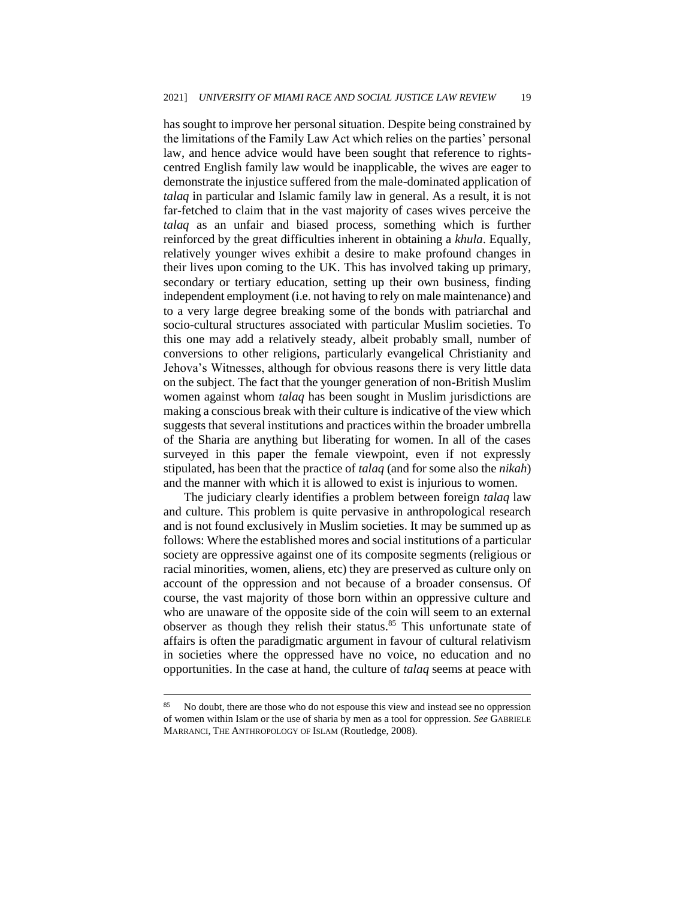has sought to improve her personal situation. Despite being constrained by the limitations of the Family Law Act which relies on the parties' personal law, and hence advice would have been sought that reference to rightscentred English family law would be inapplicable, the wives are eager to demonstrate the injustice suffered from the male-dominated application of *talaq* in particular and Islamic family law in general. As a result, it is not far-fetched to claim that in the vast majority of cases wives perceive the *talaq* as an unfair and biased process, something which is further reinforced by the great difficulties inherent in obtaining a *khula*. Equally, relatively younger wives exhibit a desire to make profound changes in their lives upon coming to the UK. This has involved taking up primary, secondary or tertiary education, setting up their own business, finding independent employment (i.e. not having to rely on male maintenance) and to a very large degree breaking some of the bonds with patriarchal and socio-cultural structures associated with particular Muslim societies. To this one may add a relatively steady, albeit probably small, number of conversions to other religions, particularly evangelical Christianity and Jehova's Witnesses, although for obvious reasons there is very little data on the subject. The fact that the younger generation of non-British Muslim women against whom *talaq* has been sought in Muslim jurisdictions are making a conscious break with their culture is indicative of the view which suggests that several institutions and practices within the broader umbrella of the Sharia are anything but liberating for women. In all of the cases surveyed in this paper the female viewpoint, even if not expressly stipulated, has been that the practice of *talaq* (and for some also the *nikah*) and the manner with which it is allowed to exist is injurious to women.

The judiciary clearly identifies a problem between foreign *talaq* law and culture. This problem is quite pervasive in anthropological research and is not found exclusively in Muslim societies. It may be summed up as follows: Where the established mores and social institutions of a particular society are oppressive against one of its composite segments (religious or racial minorities, women, aliens, etc) they are preserved as culture only on account of the oppression and not because of a broader consensus. Of course, the vast majority of those born within an oppressive culture and who are unaware of the opposite side of the coin will seem to an external observer as though they relish their status.<sup>85</sup> This unfortunate state of affairs is often the paradigmatic argument in favour of cultural relativism in societies where the oppressed have no voice, no education and no opportunities. In the case at hand, the culture of *talaq* seems at peace with

<sup>&</sup>lt;sup>85</sup> No doubt, there are those who do not espouse this view and instead see no oppression of women within Islam or the use of sharia by men as a tool for oppression. *See* GABRIELE MARRANCI, THE ANTHROPOLOGY OF ISLAM (Routledge, 2008).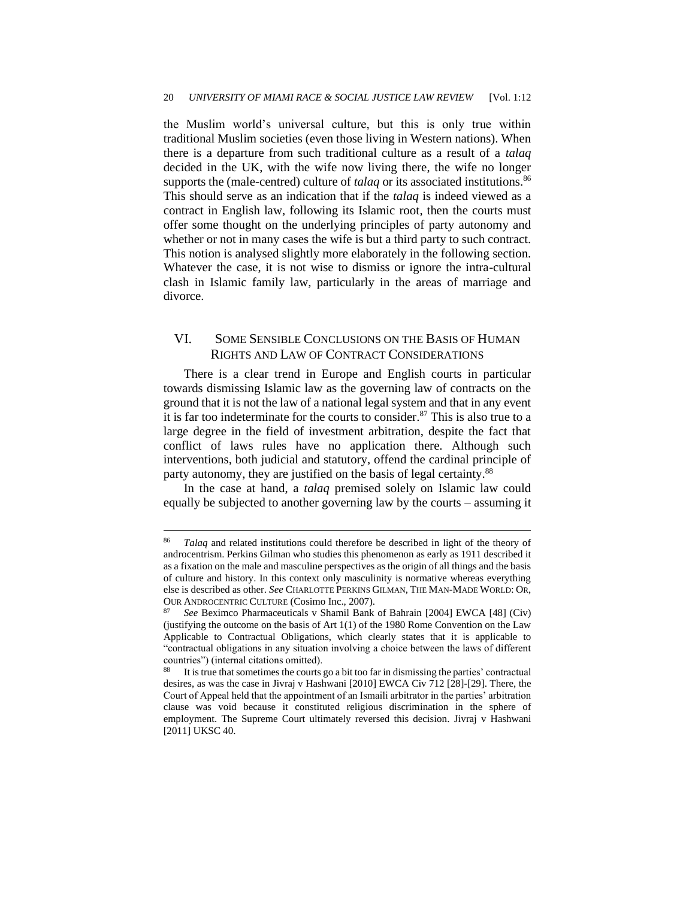the Muslim world's universal culture, but this is only true within traditional Muslim societies (even those living in Western nations). When there is a departure from such traditional culture as a result of a *talaq* decided in the UK, with the wife now living there, the wife no longer supports the (male-centred) culture of *talaq* or its associated institutions.<sup>86</sup> This should serve as an indication that if the *talaq* is indeed viewed as a contract in English law, following its Islamic root, then the courts must offer some thought on the underlying principles of party autonomy and whether or not in many cases the wife is but a third party to such contract. This notion is analysed slightly more elaborately in the following section. Whatever the case, it is not wise to dismiss or ignore the intra-cultural clash in Islamic family law, particularly in the areas of marriage and divorce.

#### VI. SOME SENSIBLE CONCLUSIONS ON THE BASIS OF HUMAN RIGHTS AND LAW OF CONTRACT CONSIDERATIONS

There is a clear trend in Europe and English courts in particular towards dismissing Islamic law as the governing law of contracts on the ground that it is not the law of a national legal system and that in any event it is far too indeterminate for the courts to consider.<sup>87</sup> This is also true to a large degree in the field of investment arbitration, despite the fact that conflict of laws rules have no application there. Although such interventions, both judicial and statutory, offend the cardinal principle of party autonomy, they are justified on the basis of legal certainty.<sup>88</sup>

In the case at hand, a *talaq* premised solely on Islamic law could equally be subjected to another governing law by the courts – assuming it

<sup>86</sup> *Talaq* and related institutions could therefore be described in light of the theory of androcentrism. Perkins Gilman who studies this phenomenon as early as 1911 described it as a fixation on the male and masculine perspectives as the origin of all things and the basis of culture and history. In this context only masculinity is normative whereas everything else is described as other. *See* CHARLOTTE PERKINS GILMAN, THE MAN-MADE WORLD: OR, OUR ANDROCENTRIC CULTURE (Cosimo Inc., 2007).

<sup>87</sup> *See* Beximco Pharmaceuticals v Shamil Bank of Bahrain [2004] EWCA [48] (Civ) (justifying the outcome on the basis of Art 1(1) of the 1980 Rome Convention on the Law Applicable to Contractual Obligations, which clearly states that it is applicable to "contractual obligations in any situation involving a choice between the laws of different countries") (internal citations omitted).

It is true that sometimes the courts go a bit too far in dismissing the parties' contractual desires, as was the case in Jivraj v Hashwani [2010] EWCA Civ 712 [28]-[29]. There, the Court of Appeal held that the appointment of an Ismaili arbitrator in the parties' arbitration clause was void because it constituted religious discrimination in the sphere of employment. The Supreme Court ultimately reversed this decision. Jivraj v Hashwani [2011] UKSC 40.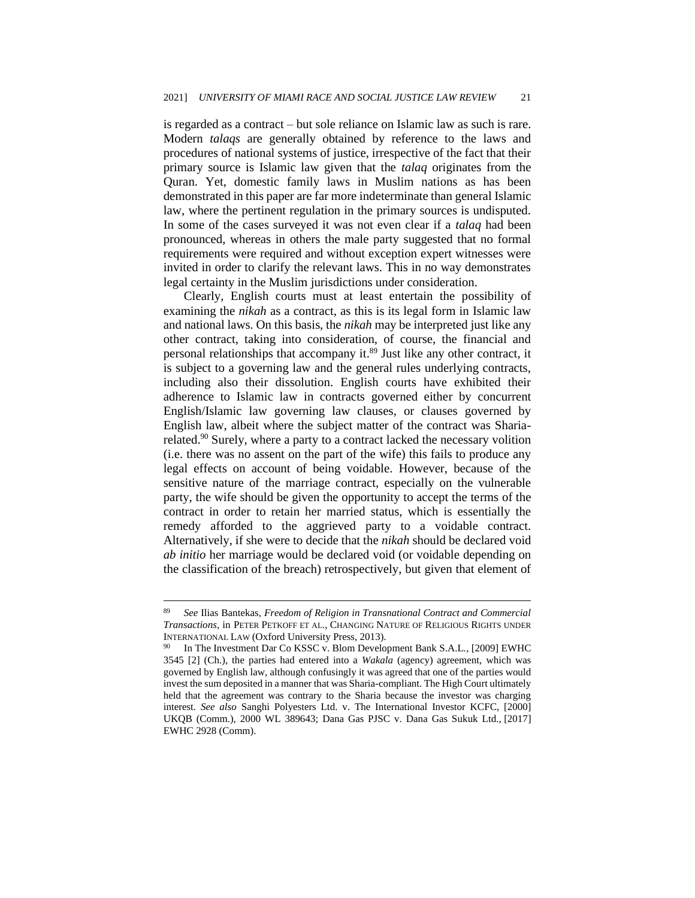is regarded as a contract – but sole reliance on Islamic law as such is rare. Modern *talaqs* are generally obtained by reference to the laws and procedures of national systems of justice, irrespective of the fact that their primary source is Islamic law given that the *talaq* originates from the Quran. Yet, domestic family laws in Muslim nations as has been demonstrated in this paper are far more indeterminate than general Islamic law, where the pertinent regulation in the primary sources is undisputed. In some of the cases surveyed it was not even clear if a *talaq* had been pronounced, whereas in others the male party suggested that no formal requirements were required and without exception expert witnesses were invited in order to clarify the relevant laws. This in no way demonstrates legal certainty in the Muslim jurisdictions under consideration.

Clearly, English courts must at least entertain the possibility of examining the *nikah* as a contract, as this is its legal form in Islamic law and national laws. On this basis, the *nikah* may be interpreted just like any other contract, taking into consideration, of course, the financial and personal relationships that accompany it.<sup>89</sup> Just like any other contract, it is subject to a governing law and the general rules underlying contracts, including also their dissolution. English courts have exhibited their adherence to Islamic law in contracts governed either by concurrent English/Islamic law governing law clauses, or clauses governed by English law, albeit where the subject matter of the contract was Shariarelated.<sup>90</sup> Surely, where a party to a contract lacked the necessary volition (i.e. there was no assent on the part of the wife) this fails to produce any legal effects on account of being voidable. However, because of the sensitive nature of the marriage contract, especially on the vulnerable party, the wife should be given the opportunity to accept the terms of the contract in order to retain her married status, which is essentially the remedy afforded to the aggrieved party to a voidable contract. Alternatively, if she were to decide that the *nikah* should be declared void *ab initio* her marriage would be declared void (or voidable depending on the classification of the breach) retrospectively, but given that element of

<sup>89</sup> *See* Ilias Bantekas, *Freedom of Religion in Transnational Contract and Commercial Transactions*, in PETER PETKOFF ET AL., CHANGING NATURE OF RELIGIOUS RIGHTS UNDER INTERNATIONAL LAW (Oxford University Press, 2013).

<sup>90</sup> In The Investment Dar Co KSSC v. Blom Development Bank S.A.L*.*, [2009] EWHC 3545 [2] (Ch.), the parties had entered into a *Wakala* (agency) agreement, which was governed by English law, although confusingly it was agreed that one of the parties would invest the sum deposited in a manner that was Sharia-compliant. The High Court ultimately held that the agreement was contrary to the Sharia because the investor was charging interest. *See also* Sanghi Polyesters Ltd. v. The International Investor KCFC, [2000] UKQB (Comm.), 2000 WL 389643; Dana Gas PJSC v. Dana Gas Sukuk Ltd*.*, [2017] EWHC 2928 (Comm).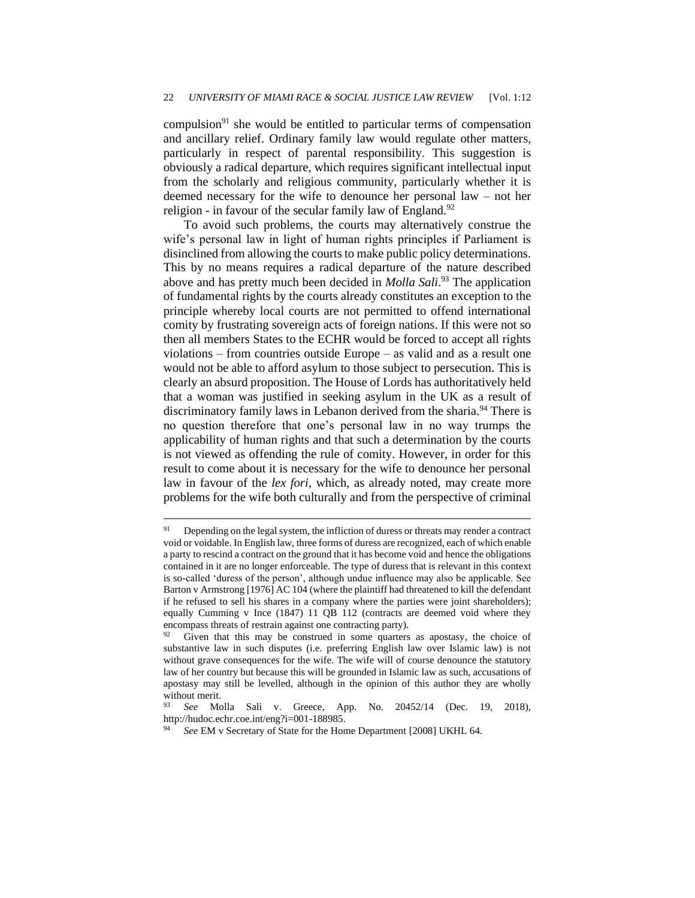compulsion<sup>91</sup> she would be entitled to particular terms of compensation and ancillary relief. Ordinary family law would regulate other matters, particularly in respect of parental responsibility. This suggestion is obviously a radical departure, which requires significant intellectual input from the scholarly and religious community, particularly whether it is deemed necessary for the wife to denounce her personal law – not her religion - in favour of the secular family law of England.<sup>92</sup>

To avoid such problems, the courts may alternatively construe the wife's personal law in light of human rights principles if Parliament is disinclined from allowing the courts to make public policy determinations. This by no means requires a radical departure of the nature described above and has pretty much been decided in *Molla Sali*. <sup>93</sup> The application of fundamental rights by the courts already constitutes an exception to the principle whereby local courts are not permitted to offend international comity by frustrating sovereign acts of foreign nations. If this were not so then all members States to the ECHR would be forced to accept all rights violations – from countries outside Europe – as valid and as a result one would not be able to afford asylum to those subject to persecution. This is clearly an absurd proposition. The House of Lords has authoritatively held that a woman was justified in seeking asylum in the UK as a result of discriminatory family laws in Lebanon derived from the sharia.<sup>94</sup> There is no question therefore that one's personal law in no way trumps the applicability of human rights and that such a determination by the courts is not viewed as offending the rule of comity. However, in order for this result to come about it is necessary for the wife to denounce her personal law in favour of the *lex fori*, which, as already noted, may create more problems for the wife both culturally and from the perspective of criminal

<sup>&</sup>lt;sup>91</sup> Depending on the legal system, the infliction of duress or threats may render a contract void or voidable. In English law, three forms of duress are recognized, each of which enable a party to rescind a contract on the ground that it has become void and hence the obligations contained in it are no longer enforceable. The type of duress that is relevant in this context is so-called 'duress of the person', although undue influence may also be applicable. See Barton v Armstrong [1976] AC 104 (where the plaintiff had threatened to kill the defendant if he refused to sell his shares in a company where the parties were joint shareholders); equally Cumming v Ince (1847) 11 QB 112 (contracts are deemed void where they encompass threats of restrain against one contracting party).

Given that this may be construed in some quarters as apostasy, the choice of substantive law in such disputes (i.e. preferring English law over Islamic law) is not without grave consequences for the wife. The wife will of course denounce the statutory law of her country but because this will be grounded in Islamic law as such, accusations of apostasy may still be levelled, although in the opinion of this author they are wholly without merit.

<sup>93</sup> *See* Molla Sali v. Greece, App. No. 20452/14 (Dec. 19, 2018), http://hudoc.echr.coe.int/eng?i=001-188985.

See EM v Secretary of State for the Home Department [2008] UKHL 64.